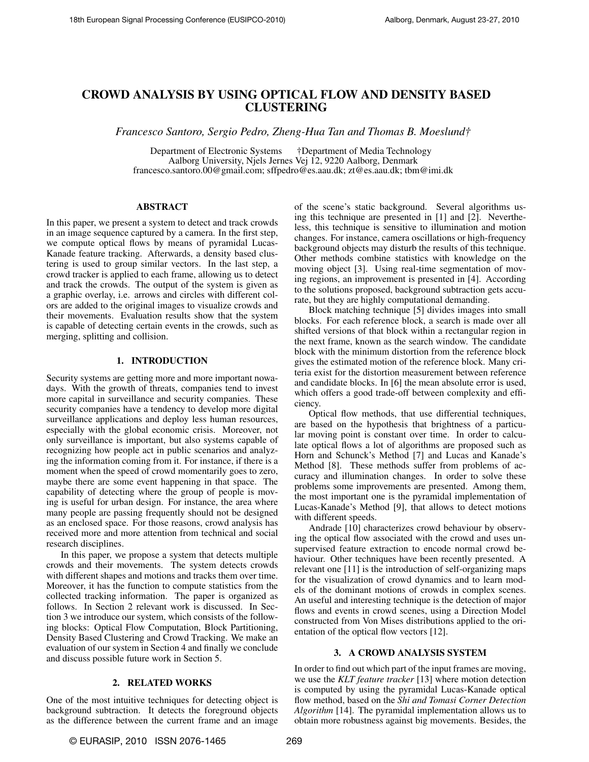# CROWD ANALYSIS BY USING OPTICAL FLOW AND DENSITY BASED CLUSTERING

*Francesco Santoro, Sergio Pedro, Zheng-Hua Tan and Thomas B. Moeslund†*

Department of Electronic Systems †Department of Media Technology Aalborg University, Njels Jernes Vej 12, 9220 Aalborg, Denmark francesco.santoro.00@gmail.com; sffpedro@es.aau.dk; zt@es.aau.dk; tbm@imi.dk

## ABSTRACT

In this paper, we present a system to detect and track crowds in an image sequence captured by a camera. In the first step, we compute optical flows by means of pyramidal Lucas-Kanade feature tracking. Afterwards, a density based clustering is used to group similar vectors. In the last step, a crowd tracker is applied to each frame, allowing us to detect and track the crowds. The output of the system is given as a graphic overlay, i.e. arrows and circles with different colors are added to the original images to visualize crowds and their movements. Evaluation results show that the system is capable of detecting certain events in the crowds, such as merging, splitting and collision.

# 1. INTRODUCTION

Security systems are getting more and more important nowadays. With the growth of threats, companies tend to invest more capital in surveillance and security companies. These security companies have a tendency to develop more digital surveillance applications and deploy less human resources, especially with the global economic crisis. Moreover, not only surveillance is important, but also systems capable of recognizing how people act in public scenarios and analyzing the information coming from it. For instance, if there is a moment when the speed of crowd momentarily goes to zero, maybe there are some event happening in that space. The capability of detecting where the group of people is moving is useful for urban design. For instance, the area where many people are passing frequently should not be designed as an enclosed space. For those reasons, crowd analysis has received more and more attention from technical and social research disciplines.

In this paper, we propose a system that detects multiple crowds and their movements. The system detects crowds with different shapes and motions and tracks them over time. Moreover, it has the function to compute statistics from the collected tracking information. The paper is organized as follows. In Section 2 relevant work is discussed. In Section 3 we introduce our system, which consists of the following blocks: Optical Flow Computation, Block Partitioning, Density Based Clustering and Crowd Tracking. We make an evaluation of our system in Section 4 and finally we conclude and discuss possible future work in Section 5.

# 2. RELATED WORKS

One of the most intuitive techniques for detecting object is background subtraction. It detects the foreground objects as the difference between the current frame and an image of the scene's static background. Several algorithms using this technique are presented in [1] and [2]. Nevertheless, this technique is sensitive to illumination and motion changes. For instance, camera oscillations or high-frequency background objects may disturb the results of this technique. Other methods combine statistics with knowledge on the moving object [3]. Using real-time segmentation of moving regions, an improvement is presented in [4]. According to the solutions proposed, background subtraction gets accurate, but they are highly computational demanding.

Block matching technique [5] divides images into small blocks. For each reference block, a search is made over all shifted versions of that block within a rectangular region in the next frame, known as the search window. The candidate block with the minimum distortion from the reference block gives the estimated motion of the reference block. Many criteria exist for the distortion measurement between reference and candidate blocks. In [6] the mean absolute error is used, which offers a good trade-off between complexity and efficiency.

Optical flow methods, that use differential techniques, are based on the hypothesis that brightness of a particular moving point is constant over time. In order to calculate optical flows a lot of algorithms are proposed such as Horn and Schunck's Method [7] and Lucas and Kanade's Method [8]. These methods suffer from problems of accuracy and illumination changes. In order to solve these problems some improvements are presented. Among them, the most important one is the pyramidal implementation of Lucas-Kanade's Method [9], that allows to detect motions with different speeds.

Andrade [10] characterizes crowd behaviour by observing the optical flow associated with the crowd and uses unsupervised feature extraction to encode normal crowd behaviour. Other techniques have been recently presented. A relevant one [11] is the introduction of self-organizing maps for the visualization of crowd dynamics and to learn models of the dominant motions of crowds in complex scenes. An useful and interesting technique is the detection of major flows and events in crowd scenes, using a Direction Model constructed from Von Mises distributions applied to the orientation of the optical flow vectors [12].

## 3. A CROWD ANALYSIS SYSTEM

In order to find out which part of the input frames are moving, we use the *KLT feature tracker* [13] where motion detection is computed by using the pyramidal Lucas-Kanade optical flow method, based on the *Shi and Tomasi Corner Detection Algorithm* [14]. The pyramidal implementation allows us to obtain more robustness against big movements. Besides, the

© EURASIP, 2010 ISSN 2076-1465 269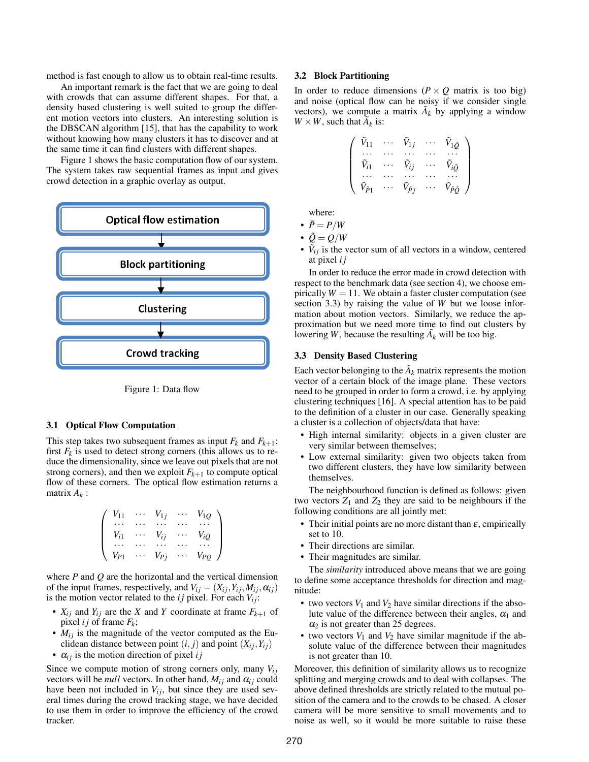method is fast enough to allow us to obtain real-time results.

An important remark is the fact that we are going to deal with crowds that can assume different shapes. For that, a density based clustering is well suited to group the different motion vectors into clusters. An interesting solution is the DBSCAN algorithm [15], that has the capability to work without knowing how many clusters it has to discover and at the same time it can find clusters with different shapes.

Figure 1 shows the basic computation flow of our system. The system takes raw sequential frames as input and gives crowd detection in a graphic overlay as output.



Figure 1: Data flow

# 3.1 Optical Flow Computation

This step takes two subsequent frames as input  $F_k$  and  $F_{k+1}$ : first  $F_k$  is used to detect strong corners (this allows us to reduce the dimensionality, since we leave out pixels that are not strong corners), and then we exploit  $F_{k+1}$  to compute optical flow of these corners. The optical flow estimation returns a matrix *A<sup>k</sup>* :

$$
\left(\begin{array}{cccc} V_{11} & \cdots & V_{1j} & \cdots & V_{1Q} \\ \vdots & \vdots & \ddots & \vdots & \vdots \\ V_{i1} & \cdots & V_{ij} & \cdots & V_{iQ} \\ \vdots & \vdots & \vdots & \ddots & \vdots \\ V_{p1} & \cdots & V_{pj} & \cdots & V_{pQ} \end{array}\right)
$$

where *P* and *Q* are the horizontal and the vertical dimension of the input frames, respectively, and  $V_{ij} = (X_{ij}, Y_{ij}, M_{ij}, \alpha_{ij})$ is the motion vector related to the  $ij$  pixel. For each  $V_{ij}$ :

- $X_{ij}$  and  $Y_{ij}$  are the *X* and *Y* coordinate at frame  $F_{k+1}$  of pixel *i j* of frame  $F_k$ ;
- $M_{ij}$  is the magnitude of the vector computed as the Euclidean distance between point  $(i, j)$  and point  $(X_{ij}, Y_{ij})$
- $\alpha_{ij}$  is the motion direction of pixel *i j*

Since we compute motion of strong corners only, many  $V_{ij}$ vectors will be *null* vectors. In other hand,  $M_{ij}$  and  $\alpha_{ij}$  could have been not included in  $V_{ij}$ , but since they are used several times during the crowd tracking stage, we have decided to use them in order to improve the efficiency of the crowd tracker.

#### 3.2 Block Partitioning

In order to reduce dimensions ( $P \times Q$  matrix is too big) and noise (optical flow can be noisy if we consider single vectors), we compute a matrix  $\tilde{A}_k$  by applying a window  $W \times W$ , such that  $\tilde{A}_k$  is:

$$
\left(\begin{array}{cccc} \tilde{V}_{11} & \cdots & \tilde{V}_{1j} & \cdots & \tilde{V}_{1\tilde{Q}} \\ \cdots & \cdots & \cdots & \cdots & \cdots \\ \tilde{V}_{i1} & \cdots & \tilde{V}_{ij} & \cdots & \tilde{V}_{i\tilde{Q}} \\ \cdots & \cdots & \cdots & \cdots & \cdots \\ \tilde{V}_{\tilde{p}_1} & \cdots & \tilde{V}_{\tilde{p}_j} & \cdots & \tilde{V}_{\tilde{p}\tilde{Q}} \end{array}\right)
$$

where:

$$
\bullet\;\;\tilde{P}=P/W
$$

- $\tilde{Q} = Q/W$
- $\tilde{V}_{ij}$  is the vector sum of all vectors in a window, centered at pixel *i j*

In order to reduce the error made in crowd detection with respect to the benchmark data (see section 4), we choose empirically  $W = 11$ . We obtain a faster cluster computation (see section 3.3) by raising the value of *W* but we loose information about motion vectors. Similarly, we reduce the approximation but we need more time to find out clusters by lowering *W*, because the resulting  $\tilde{A_k}$  will be too big.

## 3.3 Density Based Clustering

Each vector belonging to the  $\tilde{A}_k$  matrix represents the motion vector of a certain block of the image plane. These vectors need to be grouped in order to form a crowd, i.e. by applying clustering techniques [16]. A special attention has to be paid to the definition of a cluster in our case. Generally speaking a cluster is a collection of objects/data that have:

- High internal similarity: objects in a given cluster are very similar between themselves;
- Low external similarity: given two objects taken from two different clusters, they have low similarity between themselves.

The neighbourhood function is defined as follows: given two vectors  $Z_1$  and  $Z_2$  they are said to be neighbours if the following conditions are all jointly met:

- Their initial points are no more distant than  $\varepsilon$ , empirically set to 10.
- Their directions are similar.
- Their magnitudes are similar.

The *similarity* introduced above means that we are going to define some acceptance thresholds for direction and magnitude:

- two vectors  $V_1$  and  $V_2$  have similar directions if the absolute value of the difference between their angles,  $\alpha_1$  and  $\alpha_2$  is not greater than 25 degrees.
- two vectors  $V_1$  and  $V_2$  have similar magnitude if the absolute value of the difference between their magnitudes is not greater than 10.

Moreover, this definition of similarity allows us to recognize splitting and merging crowds and to deal with collapses. The above defined thresholds are strictly related to the mutual position of the camera and to the crowds to be chased. A closer camera will be more sensitive to small movements and to noise as well, so it would be more suitable to raise these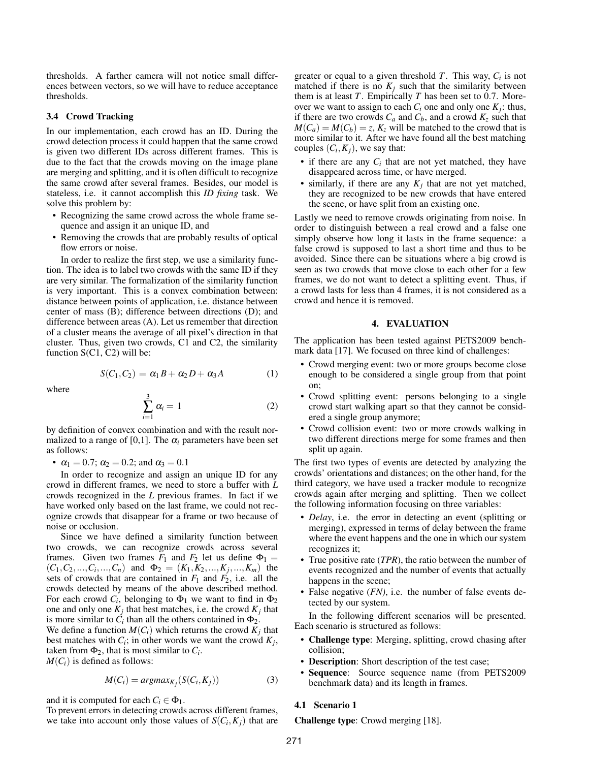thresholds. A farther camera will not notice small differences between vectors, so we will have to reduce acceptance thresholds.

# 3.4 Crowd Tracking

In our implementation, each crowd has an ID. During the crowd detection process it could happen that the same crowd is given two different IDs across different frames. This is due to the fact that the crowds moving on the image plane are merging and splitting, and it is often difficult to recognize the same crowd after several frames. Besides, our model is stateless, i.e. it cannot accomplish this *ID fixing* task. We solve this problem by:

- Recognizing the same crowd across the whole frame sequence and assign it an unique ID, and
- Removing the crowds that are probably results of optical flow errors or noise.

In order to realize the first step, we use a similarity function. The idea is to label two crowds with the same ID if they are very similar. The formalization of the similarity function is very important. This is a convex combination between: distance between points of application, i.e. distance between center of mass (B); difference between directions (D); and difference between areas (A). Let us remember that direction of a cluster means the average of all pixel's direction in that cluster. Thus, given two crowds, C1 and C2, the similarity function S(C1, C2) will be:

$$
S(C_1, C_2) = \alpha_1 B + \alpha_2 D + \alpha_3 A \tag{1}
$$

where

$$
\sum_{i=1}^{3} \alpha_i = 1 \tag{2}
$$

by definition of convex combination and with the result normalized to a range of [0,1]. The  $\alpha_i$  parameters have been set as follows:

•  $\alpha_1 = 0.7$ ;  $\alpha_2 = 0.2$ ; and  $\alpha_3 = 0.1$ 

In order to recognize and assign an unique ID for any crowd in different frames, we need to store a buffer with *L* crowds recognized in the *L* previous frames. In fact if we have worked only based on the last frame, we could not recognize crowds that disappear for a frame or two because of noise or occlusion.

Since we have defined a similarity function between two crowds, we can recognize crowds across several frames. Given two frames  $F_1$  and  $F_2$  let us define  $\Phi_1 =$  $(C_1, C_2, ..., C_i, ..., C_n)$  and  $\Phi_2 = (K_1, K_2, ..., K_j, ..., K_m)$  the sets of crowds that are contained in  $F_1$  and  $F_2$ , i.e. all the crowds detected by means of the above described method. For each crowd  $C_i$ , belonging to  $\Phi_1$  we want to find in  $\Phi_2$ one and only one  $K_j$  that best matches, i.e. the crowd  $K_j$  that is more similar to  $C_i$  than all the others contained in  $\Phi_2$ .

We define a function  $M(C_i)$  which returns the crowd  $K_j$  that best matches with  $C_i$ ; in other words we want the crowd  $K_j$ , taken from  $\Phi_2$ , that is most similar to  $C_i$ .  $M(C_i)$  is defined as follows:

$$
M(C_i) = argmax_{K_j}(S(C_i, K_j))
$$
\n(3)

and it is computed for each  $C_i \in \Phi_1$ .

To prevent errors in detecting crowds across different frames, we take into account only those values of  $S(C_i, K_j)$  that are

greater or equal to a given threshold *T*. This way, *C<sup>i</sup>* is not matched if there is no  $K_j$  such that the similarity between them is at least *T*. Empirically *T* has been set to 0.7. Moreover we want to assign to each  $C_i$  one and only one  $K_j$ : thus, if there are two crowds  $C_a$  and  $C_b$ , and a crowd  $K_z$  such that  $M(C_a) = M(C_b) = z$ ,  $K_z$  will be matched to the crowd that is more similar to it. After we have found all the best matching couples  $(C_i, K_j)$ , we say that:

- if there are any  $C_i$  that are not yet matched, they have disappeared across time, or have merged.
- similarly, if there are any  $K_j$  that are not yet matched, they are recognized to be new crowds that have entered the scene, or have split from an existing one.

Lastly we need to remove crowds originating from noise. In order to distinguish between a real crowd and a false one simply observe how long it lasts in the frame sequence: a false crowd is supposed to last a short time and thus to be avoided. Since there can be situations where a big crowd is seen as two crowds that move close to each other for a few frames, we do not want to detect a splitting event. Thus, if a crowd lasts for less than 4 frames, it is not considered as a crowd and hence it is removed.

## 4. EVALUATION

The application has been tested against PETS2009 benchmark data [17]. We focused on three kind of challenges:

- Crowd merging event: two or more groups become close enough to be considered a single group from that point on;
- Crowd splitting event: persons belonging to a single crowd start walking apart so that they cannot be considered a single group anymore;
- Crowd collision event: two or more crowds walking in two different directions merge for some frames and then split up again.

The first two types of events are detected by analyzing the crowds' orientations and distances; on the other hand, for the third category, we have used a tracker module to recognize crowds again after merging and splitting. Then we collect the following information focusing on three variables:

- *Delay*, i.e. the error in detecting an event (splitting or merging), expressed in terms of delay between the frame where the event happens and the one in which our system recognizes it;
- True positive rate (*TPR*), the ratio between the number of events recognized and the number of events that actually happens in the scene;
- False negative (*FN)*, i.e. the number of false events detected by our system.

In the following different scenarios will be presented. Each scenario is structured as follows:

- Challenge type: Merging, splitting, crowd chasing after collision;
- Description: Short description of the test case;
- Sequence: Source sequence name (from PETS2009 benchmark data) and its length in frames.

#### 4.1 Scenario 1

Challenge type: Crowd merging [18].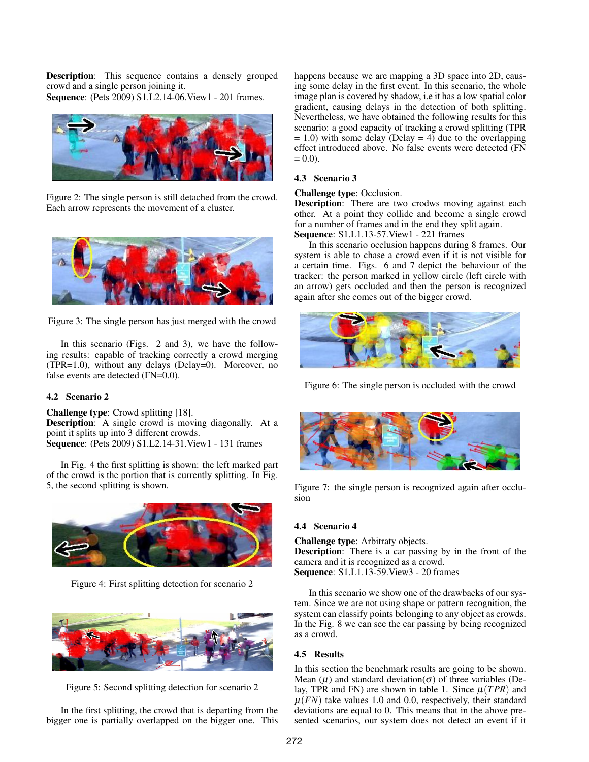Description: This sequence contains a densely grouped crowd and a single person joining it.

Sequence: (Pets 2009) S1.L2.14-06.View1 - 201 frames.



Figure 2: The single person is still detached from the crowd. Each arrow represents the movement of a cluster.



Figure 3: The single person has just merged with the crowd

In this scenario (Figs. 2 and 3), we have the following results: capable of tracking correctly a crowd merging (TPR=1.0), without any delays (Delay=0). Moreover, no false events are detected (FN=0.0).

# 4.2 Scenario 2

Challenge type: Crowd splitting [18]. Description: A single crowd is moving diagonally. At a point it splits up into 3 different crowds. Sequence: (Pets 2009) S1.L2.14-31.View1 - 131 frames

In Fig. 4 the first splitting is shown: the left marked part of the crowd is the portion that is currently splitting. In Fig. 5, the second splitting is shown.



Figure 4: First splitting detection for scenario 2



Figure 5: Second splitting detection for scenario 2

In the first splitting, the crowd that is departing from the bigger one is partially overlapped on the bigger one. This happens because we are mapping a 3D space into 2D, causing some delay in the first event. In this scenario, the whole image plan is covered by shadow, i.e it has a low spatial color gradient, causing delays in the detection of both splitting. Nevertheless, we have obtained the following results for this scenario: a good capacity of tracking a crowd splitting (TPR  $= 1.0$ ) with some delay (Delay  $= 4$ ) due to the overlapping effect introduced above. No false events were detected (FN  $= 0.0$ ).

# 4.3 Scenario 3

## Challenge type: Occlusion.

Description: There are two crodws moving against each other. At a point they collide and become a single crowd for a number of frames and in the end they split again. Sequence: S1.L1.13-57.View1 - 221 frames

In this scenario occlusion happens during 8 frames. Our system is able to chase a crowd even if it is not visible for a certain time. Figs. 6 and 7 depict the behaviour of the tracker: the person marked in yellow circle (left circle with an arrow) gets occluded and then the person is recognized again after she comes out of the bigger crowd.



Figure 6: The single person is occluded with the crowd



Figure 7: the single person is recognized again after occlusion

#### 4.4 Scenario 4

Challenge type: Arbitraty objects. Description: There is a car passing by in the front of the camera and it is recognized as a crowd. Sequence: S1.L1.13-59.View3 - 20 frames

In this scenario we show one of the drawbacks of our system. Since we are not using shape or pattern recognition, the system can classify points belonging to any object as crowds. In the Fig. 8 we can see the car passing by being recognized as a crowd.

## 4.5 Results

In this section the benchmark results are going to be shown. Mean  $(\mu)$  and standard deviation( $\sigma$ ) of three variables (Delay, TPR and FN) are shown in table 1. Since  $\mu(TPR)$  and  $\mu(FN)$  take values 1.0 and 0.0, respectively, their standard deviations are equal to 0. This means that in the above presented scenarios, our system does not detect an event if it